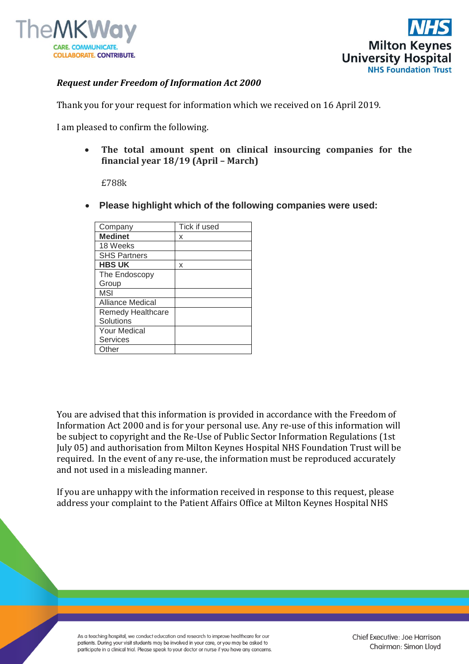



## *Request under Freedom of Information Act 2000*

Thank you for your request for information which we received on 16 April 2019.

I am pleased to confirm the following.

 **The total amount spent on clinical insourcing companies for the financial year 18/19 (April – March)**

£788k

**Please highlight which of the following companies were used:**

| Tick if used |
|--------------|
| x            |
|              |
|              |
| x            |
|              |
|              |
|              |
|              |
|              |
|              |
|              |
|              |
|              |
|              |

You are advised that this information is provided in accordance with the Freedom of Information Act 2000 and is for your personal use. Any re-use of this information will be subject to copyright and the Re-Use of Public Sector Information Regulations (1st July 05) and authorisation from Milton Keynes Hospital NHS Foundation Trust will be required. In the event of any re-use, the information must be reproduced accurately and not used in a misleading manner.

If you are unhappy with the information received in response to this request, please address your complaint to the Patient Affairs Office at Milton Keynes Hospital NHS